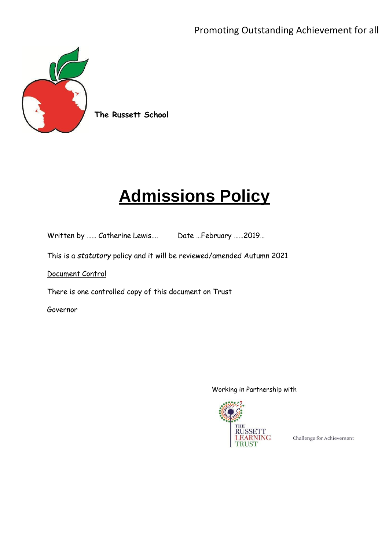

**The Russett School**

# **Admissions Policy**

Written by …… Catherine Lewis…. Date …February ……2019…

This is a *statutory* policy and it will be reviewed/amended Autumn 2021

Document Control

There is one controlled copy of this document on Trust

Governor

#### Working in Partnership with



Challenge for Achievement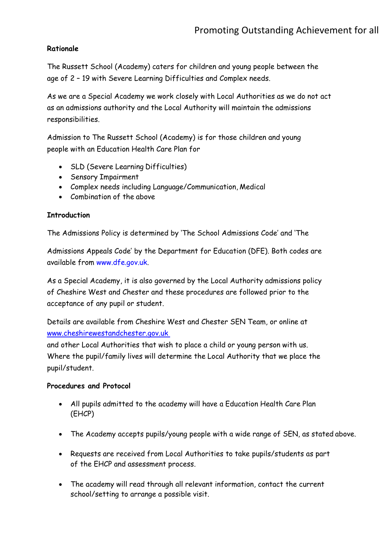### **Rationale**

The Russett School (Academy) caters for children and young people between the age of 2 – 19 with Severe Learning Difficulties and Complex needs.

As we are a Special Academy we work closely with Local Authorities as we do not act as an admissions authority and the Local Authority will maintain the admissions responsibilities.

Admission to The Russett School (Academy) is for those children and young people with an Education Health Care Plan for

- SLD (Severe Learning Difficulties)
- Sensory Impairment
- Complex needs including Language/Communication, Medical
- Combination of the above

#### **Introduction**

The Admissions Policy is determined by 'The School Admissions Code' and 'The

Admissions Appeals Code' by the Department for Education (DFE). Both codes are available from [www.dfe.gov.uk.](http://www.dfe.gov.uk/)

As a Special Academy, it is also governed by the Local Authority admissions policy of Cheshire West and Chester and these procedures are followed prior to the acceptance of any pupil or student.

Details are available from Cheshire West and Chester SEN Team, or online at [www.cheshirewestandchester.gov.uk](http://www.cheshirewestandchester.gov.uk/)

and other Local Authorities that wish to place a child or young person with us. Where the pupil/family lives will determine the Local Authority that we place the pupil/student.

#### **Procedures and Protocol**

- All pupils admitted to the academy will have a Education Health Care Plan (EHCP)
- The Academy accepts pupils/young people with a wide range of SEN, as stated above.
- Requests are received from Local Authorities to take pupils/students as part of the EHCP and assessment process.
- The academy will read through all relevant information, contact the current school/setting to arrange a possible visit.